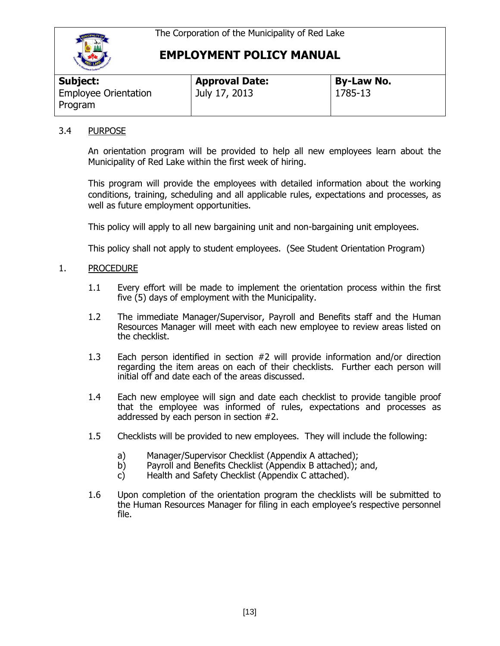

# **EMPLOYMENT POLICY MANUAL**

| Subject:                               | <b>Approval Date:</b> | <b>By-Law No.</b> |
|----------------------------------------|-----------------------|-------------------|
| <b>Employee Orientation</b><br>Program | July 17, 2013         | 1785-13           |

#### 3.4 PURPOSE

An orientation program will be provided to help all new employees learn about the Municipality of Red Lake within the first week of hiring.

This program will provide the employees with detailed information about the working conditions, training, scheduling and all applicable rules, expectations and processes, as well as future employment opportunities.

This policy will apply to all new bargaining unit and non-bargaining unit employees.

This policy shall not apply to student employees. (See Student Orientation Program)

#### 1. PROCEDURE

- 1.1 Every effort will be made to implement the orientation process within the first five (5) days of employment with the Municipality.
- 1.2 The immediate Manager/Supervisor, Payroll and Benefits staff and the Human Resources Manager will meet with each new employee to review areas listed on the checklist.
- 1.3 Each person identified in section #2 will provide information and/or direction regarding the item areas on each of their checklists. Further each person will initial off and date each of the areas discussed.
- 1.4 Each new employee will sign and date each checklist to provide tangible proof that the employee was informed of rules, expectations and processes as addressed by each person in section #2.
- 1.5 Checklists will be provided to new employees. They will include the following:
	- a) Manager/Supervisor Checklist (Appendix A attached);
	- b) Payroll and Benefits Checklist (Appendix B attached); and,
	- c) Health and Safety Checklist (Appendix C attached).
- 1.6 Upon completion of the orientation program the checklists will be submitted to the Human Resources Manager for filing in each employee's respective personnel file.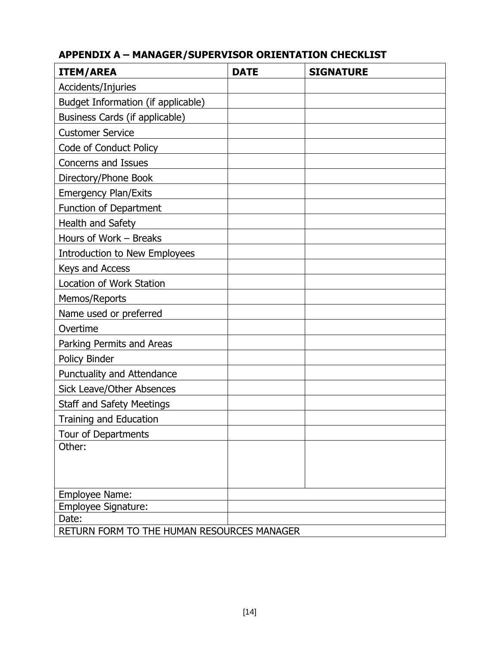| <b>ITEM/AREA</b>                                    | <b>DATE</b> | <b>SIGNATURE</b> |  |  |
|-----------------------------------------------------|-------------|------------------|--|--|
| Accidents/Injuries                                  |             |                  |  |  |
| Budget Information (if applicable)                  |             |                  |  |  |
| Business Cards (if applicable)                      |             |                  |  |  |
| <b>Customer Service</b>                             |             |                  |  |  |
| Code of Conduct Policy                              |             |                  |  |  |
| Concerns and Issues                                 |             |                  |  |  |
| Directory/Phone Book                                |             |                  |  |  |
| <b>Emergency Plan/Exits</b>                         |             |                  |  |  |
| Function of Department                              |             |                  |  |  |
| Health and Safety                                   |             |                  |  |  |
| Hours of Work - Breaks                              |             |                  |  |  |
| <b>Introduction to New Employees</b>                |             |                  |  |  |
| Keys and Access                                     |             |                  |  |  |
| Location of Work Station                            |             |                  |  |  |
| Memos/Reports                                       |             |                  |  |  |
| Name used or preferred                              |             |                  |  |  |
| Overtime                                            |             |                  |  |  |
| Parking Permits and Areas                           |             |                  |  |  |
| Policy Binder                                       |             |                  |  |  |
| Punctuality and Attendance                          |             |                  |  |  |
| <b>Sick Leave/Other Absences</b>                    |             |                  |  |  |
| <b>Staff and Safety Meetings</b>                    |             |                  |  |  |
| <b>Training and Education</b>                       |             |                  |  |  |
| Tour of Departments                                 |             |                  |  |  |
| Other:                                              |             |                  |  |  |
|                                                     |             |                  |  |  |
|                                                     |             |                  |  |  |
| Employee Name:                                      |             |                  |  |  |
| Employee Signature:                                 |             |                  |  |  |
| Date:<br>RETURN FORM TO THE HUMAN RESOURCES MANAGER |             |                  |  |  |
|                                                     |             |                  |  |  |

## **APPENDIX A – MANAGER/SUPERVISOR ORIENTATION CHECKLIST**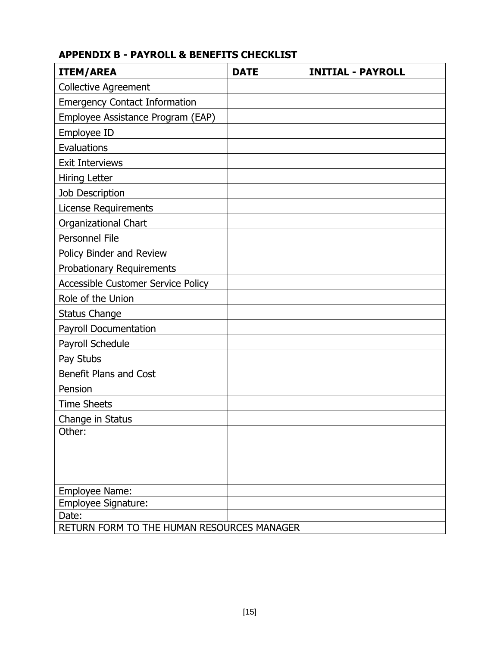## **APPENDIX B - PAYROLL & BENEFITS CHECKLIST**

| <b>ITEM/AREA</b>                           | <b>DATE</b> | <b>INITIAL - PAYROLL</b> |  |
|--------------------------------------------|-------------|--------------------------|--|
| <b>Collective Agreement</b>                |             |                          |  |
| <b>Emergency Contact Information</b>       |             |                          |  |
| Employee Assistance Program (EAP)          |             |                          |  |
| Employee ID                                |             |                          |  |
| Evaluations                                |             |                          |  |
| <b>Exit Interviews</b>                     |             |                          |  |
| Hiring Letter                              |             |                          |  |
| Job Description                            |             |                          |  |
| <b>License Requirements</b>                |             |                          |  |
| Organizational Chart                       |             |                          |  |
| Personnel File                             |             |                          |  |
| Policy Binder and Review                   |             |                          |  |
| <b>Probationary Requirements</b>           |             |                          |  |
| <b>Accessible Customer Service Policy</b>  |             |                          |  |
| Role of the Union                          |             |                          |  |
| <b>Status Change</b>                       |             |                          |  |
| Payroll Documentation                      |             |                          |  |
| Payroll Schedule                           |             |                          |  |
| Pay Stubs                                  |             |                          |  |
| Benefit Plans and Cost                     |             |                          |  |
| Pension                                    |             |                          |  |
| <b>Time Sheets</b>                         |             |                          |  |
| Change in Status                           |             |                          |  |
| Other:                                     |             |                          |  |
|                                            |             |                          |  |
|                                            |             |                          |  |
|                                            |             |                          |  |
| Employee Name:                             |             |                          |  |
| Employee Signature:<br>Date:               |             |                          |  |
| RETURN FORM TO THE HUMAN RESOURCES MANAGER |             |                          |  |